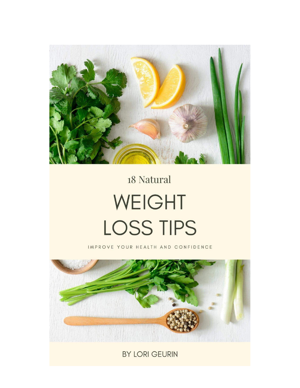

## 18 Natural WEIGHT LOSS TIPS

IMPROVE YOUR HEALTH AND CONFIDENCE



BY LORI GEURIN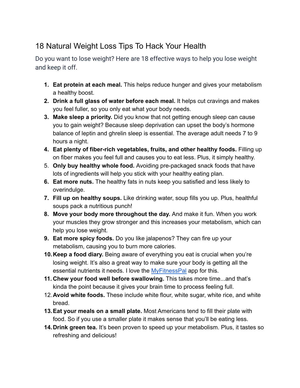## 18 Natural Weight Loss Tips To Hack Your Health

Do you want to lose weight? Here are 18 effective ways to help you lose weight and keep it off.

- **1. Eat protein at each meal.** This helps reduce hunger and gives your metabolism a healthy boost.
- **2. Drink a full glass of water before each meal.** It helps cut cravings and makes you feel fuller, so you only eat what your body needs.
- **3. Make sleep a priority.** Did you know that not getting enough sleep can cause you to gain weight? Because sleep deprivation can upset the body's hormone balance of leptin and ghrelin sleep is essential. The average adult needs 7 to 9 hours a night.
- **4. Eat plenty of fiber-rich vegetables, fruits, and other healthy foods.** Filling up on fiber makes you feel full and causes you to eat less. Plus, it simply healthy.
- 5. **Only buy healthy whole food.** Avoiding pre-packaged snack foods that have lots of ingredients will help you stick with your healthy eating plan.
- **6. Eat more nuts.** The healthy fats in nuts keep you satisfied and less likely to overindulge.
- **7. Fill up on healthy soups.** Like drinking water, soup fills you up. Plus, healthful soups pack a nutritious punch!
- **8. Move your body more throughout the day.** And make it fun. When you work your muscles they grow stronger and this increases your metabolism, which can help you lose weight.
- **9. Eat more spicy foods.** Do you like jalapenos? They can fire up your metabolism, causing you to burn more calories.
- **10.Keep a food diary.** Being aware of everything you eat is crucial when you're losing weight. It's also a great way to make sure your body is getting all the essential nutrients it needs. I love the [MyFitnessPal](https://www.myfitnesspal.com/) app for this.
- **11. Chew your food well before swallowing.** This takes more time...and that's kinda the point because it gives your brain time to process feeling full.
- 12.**Avoid white foods.** These include white flour, white sugar, white rice, and white bread.
- **13.Eat your meals on a small plate.** Most Americans tend to fill their plate with food. So if you use a smaller plate it makes sense that you'll be eating less.
- **14.Drink green tea.** It's been proven to speed up your metabolism. Plus, it tastes so refreshing and delicious!